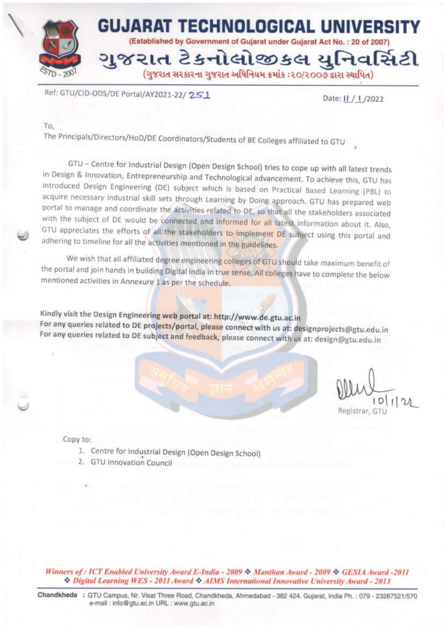

Ref: GTU/CID-ODS/DE Portal/AY2021-22/ 2S1

Date: 11 / 1/2022

To.

The Principals/Directors/HoD/DE Coordinators/Students of BE Colleges affiliated to GTU

GTU - Centre for Industrial Design (Open Design School) tries to cope up with all latest trends in Design & Innovation, Entrepreneurship and Technological advancement. To achieve this, GTU has introduced Design Engineering (DE) subject which is based on Practical Based Learning (PBL) to acquire necessary industrial skill sets through Learning by Doing approach. GTU has prepared web portal to manage and coordinate the activities related to DE, so that all the stakeholders associated with the subject of DE would be connected and informed for all latest information about it. Also, GTU appreciates the efforts of all the stakeholders to implement DE subject using this portal and adhering to timeline for all the activities mentioned in the guidelines.

We wish that all affiliated degree engineering colleges of GTU should take maximum benefit of the portal and join hands in building Digital India in true sense. All colleges have to complete the below mentioned activities in Annexure 1 as per the schedule.

Kindly visit the Design Engineering web portal at: http://www.de.gtu.ac.in For any queries related to DE projects/portal, please connect with us at: designprojects@gtu.edu.in For any queries related to DE subject and feedback, please connect with us at: design@gtu.edu.in

Registrar, GT

Copy to:

- 1. Centre for Industrial Design (Open Design School)
- 2. GTU Innovation Council

Winners of : ICT Enabled University Award E-India - 2009 \* Manthan Award - 2009 \* GESIA Award - 2011 Digital Learning WES - 2011 Award & AIMS International Innovative University Award - 2013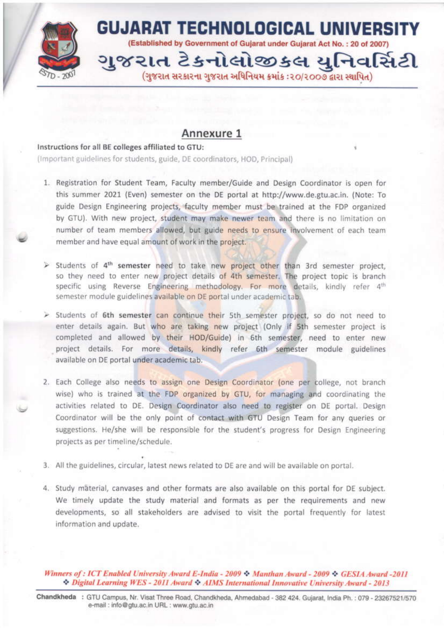

## Annexure 1

Instructions for all BE colleges affiliated to GTU:

(Important guidelines for students, guide, DE coordinators, HOD, Principal)

- 1. Registration for Student Team, Faculty member/Guide and Design Coordinator is open for this summer 2021 (Even) semester on the DE portal at http://www.de.gtu.ac.in. (Note: To guide Design Engineering projects, faculty member must be trained at the FDP organized by GTU). With new project, student may make newer team and there is no limitation on number of team members allowed, but guide needs to ensure involvement of each team member and have equal amount of work in the project.
- > Students of 4<sup>th</sup> semester need to take new project other than 3rd semester project, so they need to enter new project details of 4th semester. The project topic is branch specific using Reverse Engineering methodology. For more details, kindly refer 4th semester module guidelines available on DE portal under academic tab.
- > Students of 6th semester can continue their 5th semester project, so do not need to enter details again. But who are taking new project (Only if 5th semester project is completed and allowed by their HOD/Guide) in 6th semester, need to enter new project details. For more details, kindly refer 6th semester module guidelines available on DE portal under academic tab.
- 2. Each College also needs to assign one Design Coordinator (one per college, not branch wise) who is trained at the FDP organized by GTU, for managing and coordinating the activities related to DE. Design Coordinator also need to register on DE portal. Design Coordinator will be the only point of contact with GTU Design Team for any queries or suggestions. He/she will be responsible for the student's progress for Design Engineering projects as per timeline/schedule.
- 3. All the guidelines, circular, latest news related to DE are and will be available on portal.
- 4. Study material, canvases and other formats are also available on this portal for DE subject. We timely update the study material and formats as per the requirements and new developments, so all stakeholders are advised to visit the portal frequently for latest information and update.

Winners of : ICT Enabled University Award E-India - 2009 & Manthan Award - 2009 & GESIA Award -2011 Digital Learning WES - 2011 Award & AIMS International Innovative University Award - 2013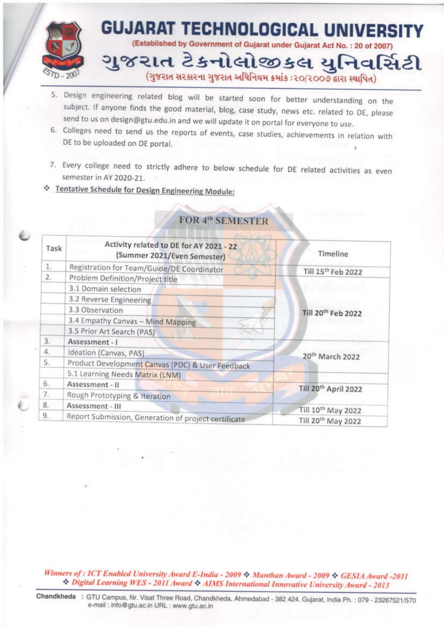

- 5. Design engineering related blog will be started soon for better understanding on the subject. If anyone finds the good material, blog, case study, news etc. related to DE, please send to us on design@gtu.edu.in and we will update it on portal for everyone to use.
- 6. Colleges need to send us the reports of events, case studies, achievements in relation with DE to be uploaded on DE portal.
- 7. Every college need to strictly adhere to below schedule for DE related activities as even semester in AY 2020-21.
- \* Tentative Schedule for Design Engineering Module:

| Task           | Activity related to DE for AY 2021 - 22<br>(Summer 2021/Even Semester) | Timeline                         |  |  |
|----------------|------------------------------------------------------------------------|----------------------------------|--|--|
| 1.             | Registration for Team/Guide/DE Coordinator                             | Till 15 <sup>th</sup> Feb 2022   |  |  |
| $\mathbf{2}$ . | Problem Definition/Project title                                       |                                  |  |  |
|                | 3.1 Domain selection                                                   |                                  |  |  |
|                | 3.2 Reverse Engineering                                                |                                  |  |  |
|                | 3.3 Observation                                                        | Till 20 <sup>th</sup> Feb 2022   |  |  |
|                | 3.4 Empathy Canvas - Mind Mapping                                      |                                  |  |  |
|                | 3.5 Prior Art Search (PAS)                                             |                                  |  |  |
| 3.             | Assessment-1                                                           |                                  |  |  |
| 4.             | Ideation (Canvas, PAS)                                                 | 20 <sup>th</sup> March 2022      |  |  |
| 5.             | Product Development Canvas (PDC) & User Feedback                       |                                  |  |  |
|                | 5.1 Learning Needs Matrix (LNM)                                        |                                  |  |  |
| 6.             | Assessment - II                                                        | Till 20 <sup>th</sup> April 2022 |  |  |
| 7.             | Rough Prototyping & Iteration.                                         |                                  |  |  |
| 8.             | Assessment - III                                                       | Till 10 <sup>th</sup> May 2022   |  |  |
| 9.             | Report Submission, Generation of project certificate                   | Till 20th May 2022               |  |  |

## **FOR 4th SEMESTER**

Winners of: ICT Enabled University Award E-India - 2009 > Manthan Award - 2009 > GESIA Award - 2011 Digital Learning WES - 2011 Award & AIMS International Innovative University Award - 2013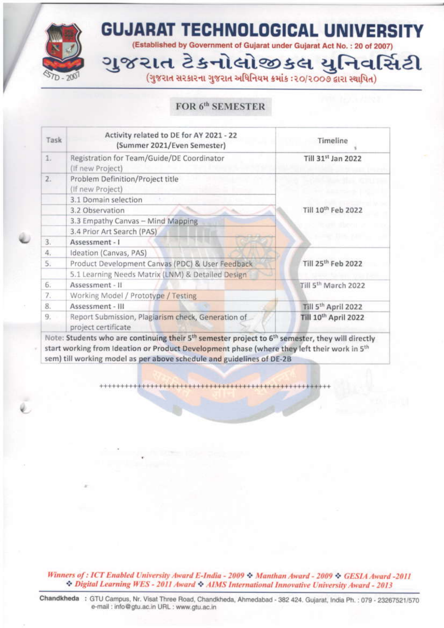

## FOR 6th SEMESTER

| Task         | Activity related to DE for AY 2021 - 22<br>(Summer 2021/Even Semester)    | Timeline                        |  |  |
|--------------|---------------------------------------------------------------------------|---------------------------------|--|--|
| 1.           | Registration for Team/Guide/DE Coordinator<br>(If new Project)            | Till 31 <sup>st</sup> Jan 2022  |  |  |
| $\mathbb{Z}$ | Problem Definition/Project title<br>(If new Project)                      | Till 10 <sup>th</sup> Feb 2022  |  |  |
|              | 3.1 Domain selection                                                      |                                 |  |  |
|              | 3.2 Observation                                                           |                                 |  |  |
|              | 3.3 Empathy Canvas - Mind Mapping                                         |                                 |  |  |
|              | 3.4 Prior Art Search (PAS)                                                |                                 |  |  |
| 3.           | Assessment - I                                                            |                                 |  |  |
| 4.           | Ideation (Canvas, PAS)                                                    |                                 |  |  |
| 5.           | Product Development Canvas (PDC) & User Feedback                          | Till 25 <sup>th</sup> Feb 2022  |  |  |
|              | 5.1 Learning Needs Matrix (LNM) & Detailed Design                         |                                 |  |  |
| 6.           | Assessment - II                                                           | Till 5 <sup>th</sup> March 2022 |  |  |
| 7.           | Working Model / Prototype / Testing                                       |                                 |  |  |
| 8.           | Assessment - III                                                          | Till 5th April 2022             |  |  |
| 9.           | Report Submission, Plagiarism check, Generation of<br>project certificate | Till 10th April 2022            |  |  |

start working from Ideation or Product Development phase (where they left their work in 5<sup>th</sup> sem) till working model as per above schedule and guidelines of DE-2B

Winners of: ICT Enabled University Award E-India - 2009 \* Manthan Award - 2009 \* GESIA Award - 2011 Digital Learning WES - 2011 Award & AIMS International Innovative University Award - 2013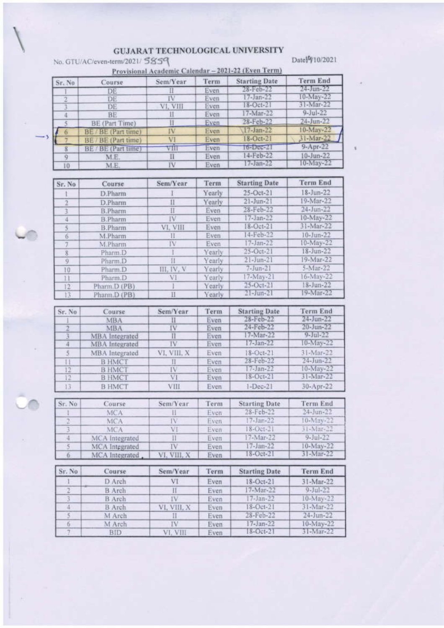## **GUJARAT TECHNOLOGICAL UNIVERSITY**

No. GTU/AC/even-term/2021/ 5859

**B** Arch

M Arch

M Arch

**BID** 

4

5

6

VI.

VIII. X

 $\mathop{\mathrm{II}}% \nolimits_{\mathop{\mathrm{II}}% \nolimits} \mathop{\mathrm{II}}% \nolimits_{\mathop{\mathrm{II}}% \nolimits} \mathop{\mathrm{II}}% \nolimits_{\mathop{\mathrm{II}}% \nolimits} \mathop{\mathrm{II}}% \nolimits_{\mathop{\mathrm{II}}% \nolimits} \mathop{\mathrm{II}}% \nolimits_{\mathop{\mathrm{II}}% \nolimits} \mathop{\mathrm{II}}% \nolimits_{\mathop{\mathrm{II}}% \nolimits} \mathop{\mathrm{II}}% \nolimits_{\mathop{\mathrm{II}}% \nolimits} \mathop{\mathrm{II}}% \nolimits_{\mathop{\mathrm{II}}% \$ 

IV

VI, VIII

Even

Even

Even

Even

 $\overline{\phantom{a}}$ 

Provisional Academic Calendar - 2021-22 (Even Term) **Term End Starting Date** Sem/Year Term Sr. No Course 24-Jun-22<br>10-May-22<br>31-Mar-22 28-Feb-22 DE T Even 17-Jan-22<br>18-Oct-21 DE IV Even VI. VIII DE Even  $9 - Ju - 22$ 17-Mar-22 4 BE Ħ Even  $24 - \text{Jun} - 22$ 28-Feb-22<br>17-Jan-22  $\overline{\mathbf{1}}$ BE (Part Time) Even  $\epsilon$ 10-May-22 IV 6 BE / BE (Part time) Even 31-Mar-22<br>9-Apr-22  $18 - Oct - 21$ VI BE / BE (Part time) Even ä  $16 - Dcc - 21$ vm Even  $\overline{\mathbf{S}}$ BE/BE(Part time) 10-Jun-22<br>10-May-22 14-Feb-22 Even  $\overline{q}$ M.E.  $_{II}$ 17-Jan-22 IV TO<sub>1</sub> ME. Even **Starting Date Term End** Sem/Year Term Sr. No Course  $18 - Jun - 22$ Yearly D.Pharm 25-Oct-21  $\mathbf{I}$ 1 19-Mar-22  $21 - Jun - 21$ D.Pharm  $\overline{\mathbf{H}}$ Yearly  $\overline{2}$ 28-Feb-22  $24 - Jun - 22$ Even **B.Pharm**  $_{\rm II}$  $\overline{3}$ 10-May-22  $\overline{\rm D}$ 17-Jan-22 Even **B.Pharm**  $\frac{1}{4}$ 31-Mar-22 VI. VIII 18-Oct-21 Even **B.Pharm**  $\overline{5}$  $10 - \text{Jun} - 22$ 14-Feb-22 Even M.Pharm  $\overline{6}$  $\prod$ 10-May-22  $17 - Jan - 22$ ĪV Even M.Pharm 7  $18 - \frac{1}{22}$  $25 - Oct - 21$ Yearly Pharm.D  $\overline{\mathbf{8}}$  $21 - Jun - 21$ 19-Mar-22  $\mathbf{II}$ Yearly Pharm.D  $\eta$  $S-Mar-22$ III, IV, V  $7 - Jun - 21$ Pharm.D Yearly  $10$ 16-May-22 17-May-21 Pharm.D Yearly  $11$ V1 Pharm.D (PB)  $25-0ct-21$ 18-Jun-22 Yearly  $12$ 19-Mar-22 Pharm.D (PB)  $21 - \frac{1}{21}$  $\mathbf{H}$ Yearly 13 Term End **Starting Date** Sr. No Sem/Year Course Term 28-Feb-22  $24 - Jun - 22$ **MBA**  $\mathbf{II}$ Even 24-Feb-22  $20 - Jun - 22$ MBA IV Even  $9 - \frac{1}{10} - 22$ 17-Mar-22 **MBA** Integrated П Even 17-Jan-22 10-May-22  $\overline{4}$ **MBA** Integrated IV Even 18-Oct-21 VI, VIII, X 31-Mar-22 5 MBA Integrated Even 28-Feb-22  $24 - Jun - 22$  $\mathbf{1}$ **B HMCT**  $\mathbf{H}$ Even 10-May-22  $17 - Jan - 22$ **B HMC** IV  $12$ Even 31-Mar-22 18-Oct-21 **B HMCT**  $\overline{\vee}$ Even  $12$ VIII  $1-Dec-21$ 30-Apr-22 13 **B HMCT** Even Sem/Year **Starting Date** Term End Sr. No Course Term 28-Feb-22 24-Jun-22 **MCA**  $\mathbf{H}$ Even 17-Jan-22 10-May-22 MCA IV Even ð  $18 - Oct - 21$ 31-Mar-22 3 **MCA** VI Even 17-Mar-22  $9 - Jul - 22$  $\overline{4}$ MCA Integrated  $\Pi$ Even MCA Integrated 17-Jan-22 10-May-22  $\overline{s}$ IV Even  $18 - Oct - 21$ 31-Mar-22 **MCA** Integrated VI. VIII. X 6 Even Sr. No Course Sem/Year Term **Starting Date Term End** D Arch VI Even 18-Oct-21 31-Mar-22 17-Mar-22  $9 - Ju - 22$ **B** Arch  $_{\rm II}$ Even  $17 - Jan - 22$ 10-May-22 **B** Arch IV Even

Datel<sup>4</sup>/10/2021

31-Mar-22

24-Jun-22

10-May-22<br>31-Mar-22

 $18-Cct-21$ 

28-Feb-22

17-Jan-22

 $18-Oct-21$